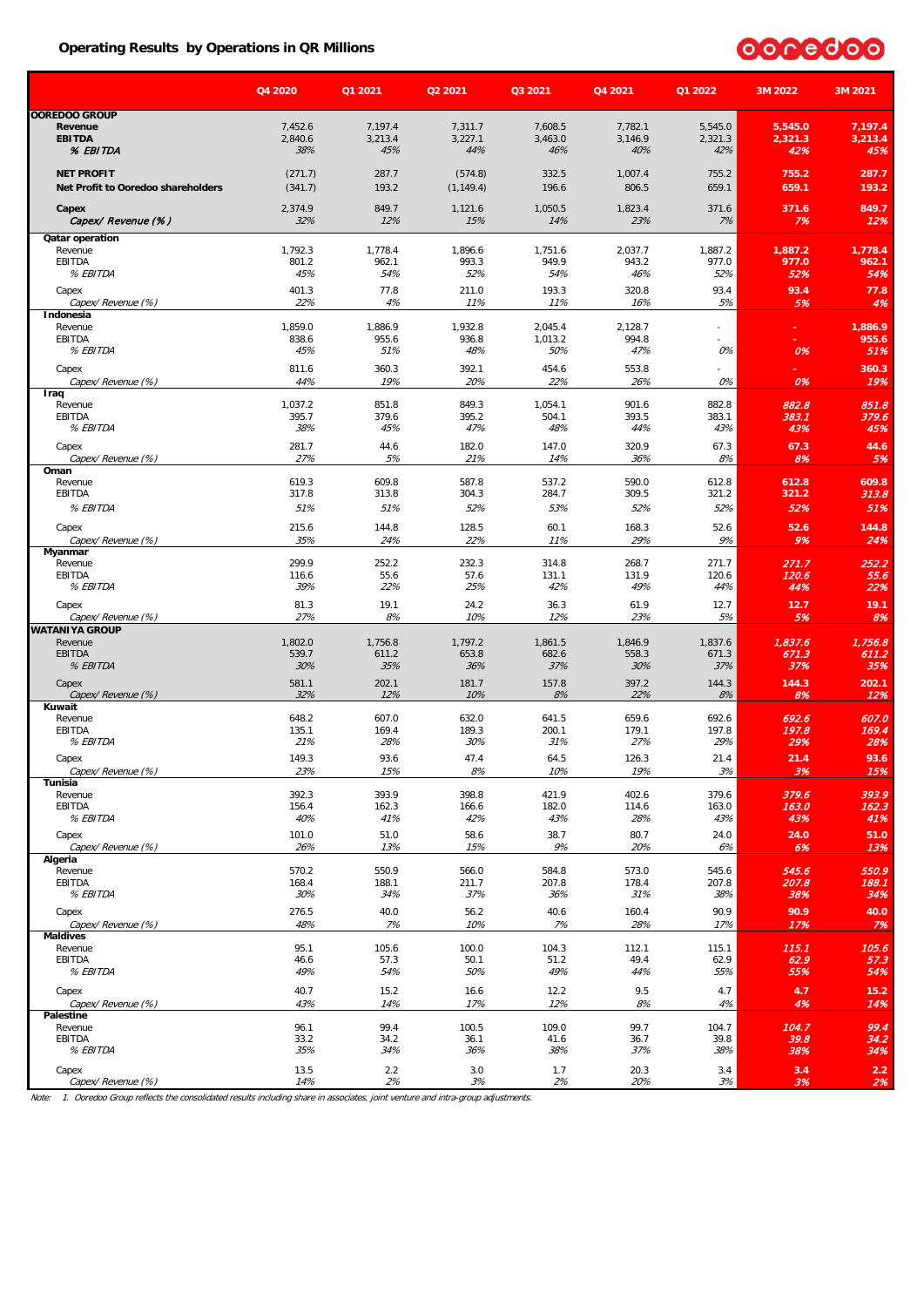#### **Operating Results by Operations in QR Millions**



|                                                         | Q4 2020                   | Q1 2021                   | Q2 2021                   | Q3 2021                   | Q4 2021                   | Q1 2022                   | 3M 2022                   | 3M 2021                   |
|---------------------------------------------------------|---------------------------|---------------------------|---------------------------|---------------------------|---------------------------|---------------------------|---------------------------|---------------------------|
| <b>OOREDOO GROUP</b>                                    |                           |                           |                           |                           |                           |                           |                           |                           |
| Revenue<br><b>EBITDA</b><br>% EBITDA                    | 7,452.6<br>2,840.6<br>38% | 7,197.4<br>3,213.4<br>45% | 7,311.7<br>3,227.1<br>44% | 7.608.5<br>3,463.0<br>46% | 7,782.1<br>3,146.9<br>40% | 5,545.0<br>2,321.3<br>42% | 5,545.0<br>2,321.3<br>42% | 7,197.4<br>3,213.4<br>45% |
| <b>NET PROFIT</b><br>Net Profit to Ooredoo shareholders | (271.7)<br>(341.7)        | 287.7<br>193.2            | (574.8)<br>(1, 149.4)     | 332.5<br>196.6            | 1,007.4<br>806.5          | 755.2<br>659.1            | 755.2<br>659.1            | 287.7<br>193.2            |
| Capex<br>Capex/ Revenue (%)                             | 2,374.9<br>32%            | 849.7<br>12%              | 1,121.6<br>15%            | 1,050.5<br>14%            | 1,823.4<br>23%            | 371.6<br>7%               | 371.6<br>7%               | 849.7<br>12%              |
| Qatar operation                                         |                           |                           |                           |                           |                           |                           |                           |                           |
| Revenue                                                 | 1,792.3                   | 1,778.4                   | 1,896.6                   | 1,751.6                   | 2,037.7                   | 1,887.2                   | 1,887.2                   | 1,778.4                   |
| EBITDA<br>% EBITDA                                      | 801.2<br>45%              | 962.1<br>54%              | 993.3<br>52%              | 949.9<br>54%              | 943.2<br>46%              | 977.0<br>52%              | 977.0<br>52%              | 962.1<br>54%              |
| Capex                                                   | 401.3                     | 77.8                      | 211.0                     | 193.3                     | 320.8                     | 93.4                      | 93.4                      | 77.8                      |
| Capex/ Revenue (%)                                      | 22%                       | 4%                        | 11%                       | 11%                       | 16%                       | 5%                        | 5%                        | 4%                        |
| Indonesia                                               |                           |                           |                           |                           |                           |                           |                           |                           |
| Revenue                                                 | 1,859.0                   | 1,886.9                   | 1,932.8                   | 2,045.4                   | 2,128.7                   | ÷,                        |                           | 1,886.9                   |
| EBITDA<br>% EBITDA                                      | 838.6<br>45%              | 955.6<br>51%              | 936.8<br>48%              | 1,013.2<br>50%            | 994.8<br>47%              | 0%                        | 0%                        | 955.6<br>51%              |
|                                                         |                           |                           |                           |                           |                           |                           |                           |                           |
| Capex<br>Capex/ Revenue (%)                             | 811.6<br>44%              | 360.3<br>19%              | 392.1<br>20%              | 454.6<br>22%              | 553.8<br>26%              | 0%                        | 0%                        | 360.3<br>19%              |
| Iraq                                                    |                           |                           |                           |                           |                           |                           |                           |                           |
| Revenue                                                 | 1,037.2                   | 851.8                     | 849.3                     | 1,054.1                   | 901.6                     | 882.8                     | 882.8                     | 851.8                     |
| EBITDA                                                  | 395.7<br>38%              | 379.6                     | 395.2                     | 504.1                     | 393.5                     | 383.1                     | 383.1                     | 379.6                     |
| % EBITDA                                                |                           | 45%                       | 47%                       | 48%                       | 44%                       | 43%                       | 43%                       | 45%                       |
| Capex                                                   | 281.7<br>27%              | 44.6                      | 182.0                     | 147.0                     | 320.9                     | 67.3                      | 67.3                      | 44.6                      |
| Capex/ Revenue (%)<br>Oman                              |                           | 5%                        | 21%                       | 14%                       | 36%                       | 8%                        | 8%                        | 5%                        |
| Revenue                                                 | 619.3                     | 609.8                     | 587.8                     | 537.2                     | 590.0                     | 612.8                     | 612.8                     | 609.8                     |
| EBITDA                                                  | 317.8                     | 313.8                     | 304.3                     | 284.7                     | 309.5                     | 321.2                     | 321.2                     | 313.8                     |
| % EBITDA                                                | 51%                       | 51%                       | 52%                       | 53%                       | 52%                       | 52%                       | 52%                       | 51%                       |
| Capex                                                   | 215.6                     | 144.8                     | 128.5                     | 60.1                      | 168.3                     | 52.6                      | 52.6                      | 144.8                     |
| Capex/ Revenue (%)                                      | 35%                       | 24%                       | 22%                       | 11%                       | 29%                       | 9%                        | 9%                        | 24%                       |
| Myanmar<br>Revenue                                      | 299.9                     | 252.2                     | 232.3                     | 314.8                     | 268.7                     | 271.7                     | 271.7                     | 252.2                     |
| EBITDA                                                  | 116.6                     | 55.6                      | 57.6                      | 131.1                     | 131.9                     | 120.6                     | 120.6                     | 55.6                      |
| % EBITDA                                                | 39%                       | 22%                       | 25%                       | 42%                       | 49%                       | 44%                       | 44%                       | 22%                       |
| Capex                                                   | 81.3                      | 19.1                      | 24.2                      | 36.3                      | 61.9                      | 12.7                      | 12.7                      | 19.1                      |
| Capex/ Revenue (%)                                      | 27%                       | 8%                        | 10%                       | 12%                       | 23%                       | 5%                        | 5%                        | 8%                        |
| <b>WATANIYA GROUP</b>                                   |                           |                           |                           |                           |                           |                           |                           |                           |
| Revenue<br>EBITDA                                       | 1,802.0<br>539.7          | 1,756.8<br>611.2          | 1,797.2<br>653.8          | 1,861.5<br>682.6          | 1,846.9<br>558.3          | 1,837.6<br>671.3          | 1,837.6<br>671.3          | 1,756.8<br>611.2          |
| % EBITDA                                                | 30%                       | 35%                       | 36%                       | 37%                       | 30%                       | 37%                       | 37%                       | 35%                       |
| Capex                                                   | 581.1                     | 202.1                     | 181.7                     | 157.8                     | 397.2                     | 144.3                     | 144.3                     | 202.1                     |
| Capex/ Revenue (%)                                      | 32%                       | 12%                       | 10%                       | 8%                        | 22%                       | 8%                        | 8%                        | 12%                       |
| Kuwait                                                  |                           |                           |                           |                           |                           |                           |                           |                           |
| Revenue<br>EBITDA                                       | 648.2<br>135.1            | 607.0<br>169.4            | 632.0<br>189.3            | 641.5<br>200.1            | 659.6<br>179.1            | 692.6<br>197.8            | 692.6<br>197.8            | 607.0<br>169.4            |
| % EBITDA                                                | 21%                       | 28%                       | 30%                       | 31%                       | 27%                       | 29%                       | 29%                       | 28%                       |
| Capex                                                   | 149.3                     | 93.6                      | 47.4                      | 64.5                      | 126.3                     | 21.4                      | 21.4                      | 93.6                      |
| Capex/ Revenue (%)                                      | 23%                       | 15%                       | 8%                        | 10%                       | 19%                       | 3%                        | 3%                        | <b>15%</b>                |
| Tunisia                                                 |                           |                           |                           |                           |                           |                           |                           |                           |
| Revenue<br>EBITDA                                       | 392.3<br>156.4            | 393.9<br>162.3            | 398.8<br>166.6            | 421.9<br>182.0            | 402.6<br>114.6            | 379.6<br>163.0            | 379.6<br>163.0            | 393.9<br>162.3            |
| % EBITDA                                                | 40%                       | 41%                       | 42%                       | 43%                       | 28%                       | 43%                       | 43%                       | 41%                       |
| Capex                                                   | 101.0                     | 51.0                      | 58.6                      | 38.7                      | 80.7                      | 24.0                      | 24.0                      | 51.0                      |
| Capex/ Revenue (%)                                      | 26%                       | 13%                       | 15%                       | 9%                        | 20%                       | 6%                        | 6%                        | 13%                       |
| Algeria                                                 |                           |                           |                           |                           |                           |                           |                           |                           |
| Revenue<br>EBITDA                                       | 570.2<br>168.4            | 550.9<br>188.1            | 566.0<br>211.7            | 584.8<br>207.8            | 573.0<br>178.4            | 545.6<br>207.8            | 545.6<br>207.8            | 550.9<br>188.1            |
| % EBITDA                                                | 30%                       | 34%                       | 37%                       | 36%                       | 31%                       | 38%                       | 38%                       | 34%                       |
| Capex                                                   | 276.5                     | 40.0                      | 56.2                      | 40.6                      | 160.4                     | 90.9                      | 90.9                      | 40.0                      |
| Capex/Revenue (%)                                       | 48%                       | 7%                        | 10%                       | 7%                        | 28%                       | 17%                       | 17%                       | 7%                        |
| <b>Maldives</b>                                         |                           |                           |                           |                           |                           |                           |                           |                           |
| Revenue<br>EBITDA                                       | 95.1                      | 105.6<br>57.3             | 100.0                     | 104.3                     | 112.1                     | 115.1<br>62.9             | 115.1<br>62.9             | 105.6<br>57.3             |
| % EBITDA                                                | 46.6<br>49%               | 54%                       | 50.1<br>50%               | 51.2<br>49%               | 49.4<br>44%               | 55%                       | 55%                       | 54%                       |
|                                                         |                           |                           |                           |                           |                           |                           |                           |                           |
| Capex<br>Capex/ Revenue (%)                             | 40.7<br>43%               | 15.2<br>14%               | 16.6<br>17%               | 12.2<br>12%               | 9.5<br>8%                 | 4.7<br>4%                 | 4.7<br>4%                 | 15.2<br>14%               |
| Palestine                                               |                           |                           |                           |                           |                           |                           |                           |                           |
| Revenue                                                 | 96.1                      | 99.4                      | 100.5                     | 109.0                     | 99.7                      | 104.7                     | 104.7                     | 99.4                      |
| EBITDA                                                  | 33.2                      | 34.2                      | 36.1                      | 41.6                      | 36.7                      | 39.8                      | 39.8                      | 34.2                      |
| % EBITDA                                                | 35%                       | 34%                       | 36%                       | 38%                       | 37%                       | 38%                       | 38%                       | 34%                       |
| Capex<br>Capex/ Revenue (%)                             | 13.5<br>14%               | 2.2<br>2%                 | 3.0<br>3%                 | 1.7<br>2%                 | 20.3<br>20%               | 3.4<br>3%                 | 3.4<br>3%                 | $2.2\,$<br>2%             |

Note: 1. Ooredoo Group reflects the consolidated results including share in associates, joint venture and intra-group adjustments.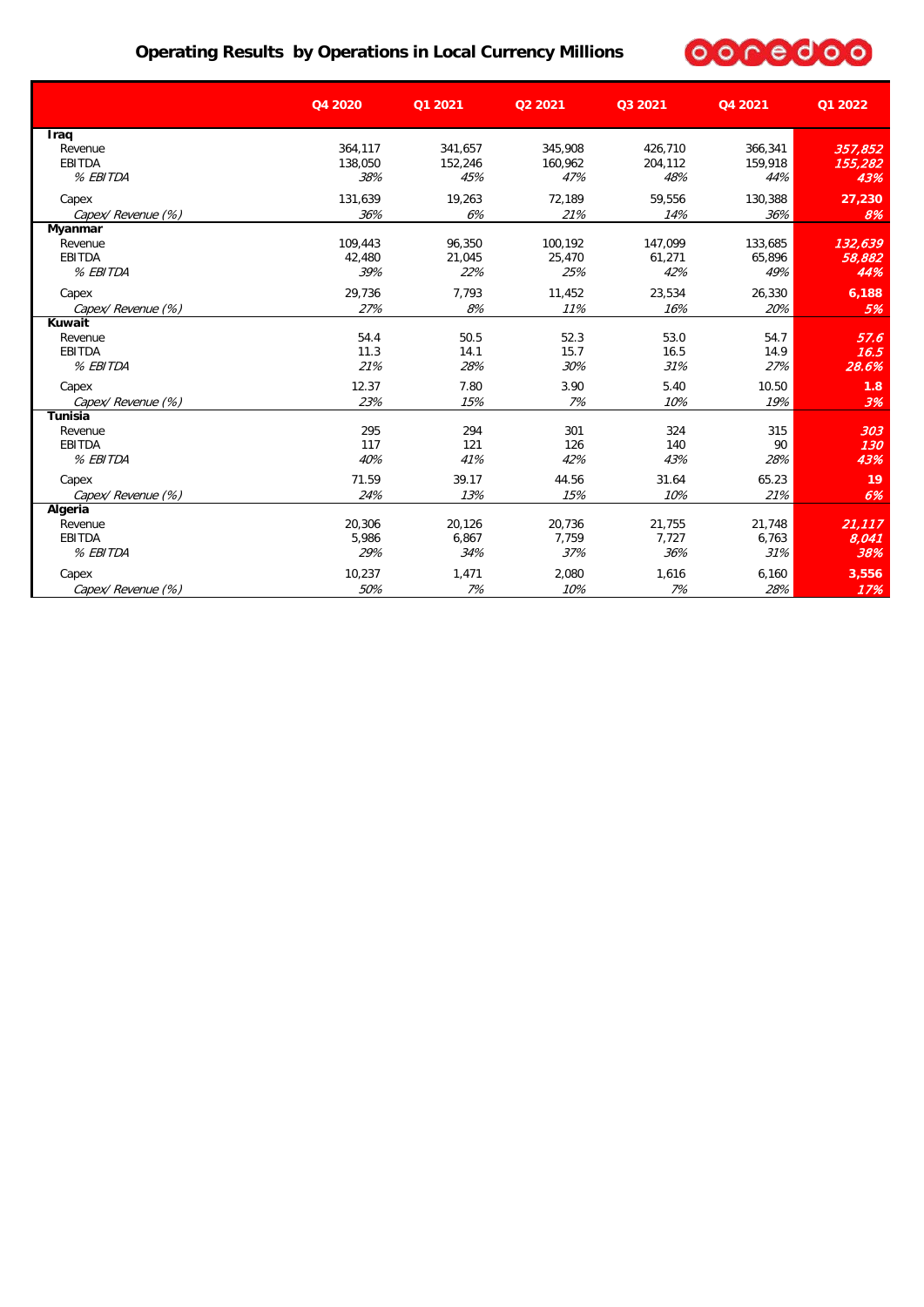### **Operating Results by Operations in Local Currency Millions**



|                    | Q4 2020 | Q1 2021 | Q2 2021 | Q3 2021 | Q4 2021 | Q1 2022 |
|--------------------|---------|---------|---------|---------|---------|---------|
| Iraq               |         |         |         |         |         |         |
| Revenue            | 364,117 | 341,657 | 345,908 | 426,710 | 366,341 | 357,852 |
| <b>EBITDA</b>      | 138,050 | 152.246 | 160.962 | 204.112 | 159.918 | 155,282 |
| % EBITDA           | 38%     | 45%     | 47%     | 48%     | 44%     | 43%     |
| Capex              | 131,639 | 19,263  | 72,189  | 59,556  | 130,388 | 27,230  |
| Capex/Revenue (%)  | 36%     | 6%      | 21%     | 14%     | 36%     | 8%      |
| Myanmar            |         |         |         |         |         |         |
| Revenue            | 109,443 | 96.350  | 100,192 | 147.099 | 133,685 | 132,639 |
| <b>EBITDA</b>      | 42,480  | 21.045  | 25,470  | 61,271  | 65,896  | 58,882  |
| % EBITDA           | 39%     | 22%     | 25%     | 42%     | 49%     | 44%     |
| Capex              | 29,736  | 7,793   | 11,452  | 23,534  | 26,330  | 6,188   |
| Capex/Revenue (%)  | 27%     | 8%      | 11%     | 16%     | 20%     | 5%      |
| Kuwait             |         |         |         |         |         |         |
| Revenue            | 54.4    | 50.5    | 52.3    | 53.0    | 54.7    | 57.6    |
| <b>EBITDA</b>      | 11.3    | 14.1    | 15.7    | 16.5    | 14.9    | 16.5    |
| % EBITDA           | 21%     | 28%     | 30%     | 31%     | 27%     | 28.6%   |
| Capex              | 12.37   | 7.80    | 3.90    | 5.40    | 10.50   | 1.8     |
| Capex/ Revenue (%) | 23%     | 15%     | 7%      | 10%     | 19%     | 3%      |
| <b>Tunisia</b>     |         |         |         |         |         |         |
| Revenue            | 295     | 294     | 301     | 324     | 315     | 303     |
| <b>EBITDA</b>      | 117     | 121     | 126     | 140     | 90      | 130     |
| % EBITDA           | 40%     | 41%     | 42%     | 43%     | 28%     | 43%     |
| Capex              | 71.59   | 39.17   | 44.56   | 31.64   | 65.23   | 19      |
| Capex/ Revenue (%) | 24%     | 13%     | 15%     | 10%     | 21%     | 6%      |
| Algeria            |         |         |         |         |         |         |
| Revenue            | 20,306  | 20,126  | 20,736  | 21,755  | 21,748  | 21,117  |
| <b>EBITDA</b>      | 5,986   | 6,867   | 7,759   | 7,727   | 6,763   | 8,041   |
| % EBITDA           | 29%     | 34%     | 37%     | 36%     | 31%     | 38%     |
| Capex              | 10.237  | 1.471   | 2.080   | 1.616   | 6.160   | 3,556   |
| Capex/ Revenue (%) | 50%     | 7%      | 10%     | 7%      | 28%     | 17%     |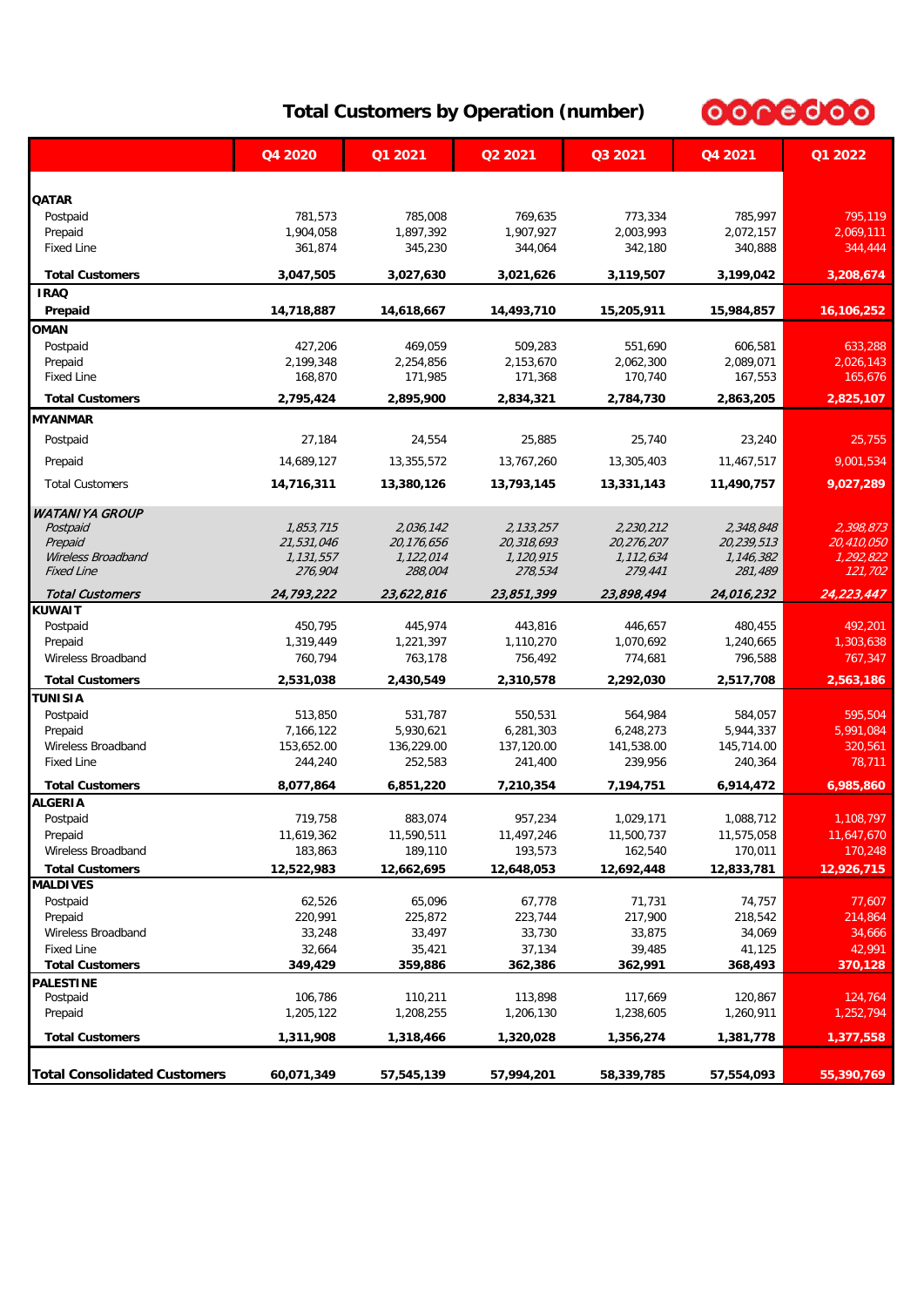# 0000000

### **Total Customers by Operation (number)**

|                                          | Q4 2020              | Q1 2021              | Q2 2021    | Q3 2021              | Q4 2021              | Q1 2022              |
|------------------------------------------|----------------------|----------------------|------------|----------------------|----------------------|----------------------|
|                                          |                      |                      |            |                      |                      |                      |
| <b>QATAR</b>                             |                      |                      | 769.635    |                      |                      |                      |
| Postpaid<br>Prepaid                      | 781,573<br>1,904,058 | 785,008<br>1,897,392 | 1,907,927  | 773,334<br>2,003,993 | 785,997<br>2,072,157 | 795,119<br>2,069,111 |
| <b>Fixed Line</b>                        | 361,874              | 345,230              | 344,064    | 342,180              | 340,888              | 344,444              |
|                                          |                      |                      |            |                      |                      |                      |
| <b>Total Customers</b><br><b>IRAQ</b>    | 3,047,505            | 3,027,630            | 3,021,626  | 3,119,507            | 3,199,042            | 3,208,674            |
| Prepaid                                  | 14,718,887           | 14,618,667           | 14,493,710 | 15,205,911           | 15,984,857           | 16,106,252           |
| <b>OMAN</b>                              |                      |                      |            |                      |                      |                      |
| Postpaid                                 | 427,206              | 469,059              | 509.283    | 551,690              | 606,581              | 633,288              |
| Prepaid                                  | 2,199,348            | 2,254,856            | 2,153,670  | 2,062,300            | 2,089,071            | 2,026,143            |
| <b>Fixed Line</b>                        | 168,870              | 171,985              | 171,368    | 170,740              | 167,553              | 165,676              |
| <b>Total Customers</b>                   | 2,795,424            | 2,895,900            | 2,834,321  | 2,784,730            | 2,863,205            | 2,825,107            |
| <b>MYANMAR</b>                           |                      |                      |            |                      |                      |                      |
| Postpaid                                 | 27,184               | 24,554               | 25,885     | 25,740               | 23,240               | 25,755               |
| Prepaid                                  | 14,689,127           | 13,355,572           | 13,767,260 | 13,305,403           | 11,467,517           | 9,001,534            |
| <b>Total Customers</b>                   | 14,716,311           | 13,380,126           | 13,793,145 | 13,331,143           | 11,490,757           | 9,027,289            |
| <b>WATANIYA GROUP</b>                    |                      |                      |            |                      |                      |                      |
| Postpaid                                 | 1,853,715            | 2,036,142            | 2,133,257  | 2,230,212            | 2,348,848            | 2,398,873            |
| Prepaid                                  | 21,531,046           | 20,176,656           | 20,318,693 | 20,276,207           | 20,239,513           | 20,410,050           |
| Wireless Broadband                       | 1,131,557            | 1,122,014            | 1,120,915  | 1,112,634            | 1,146,382            | 1,292,822            |
| <b>Fixed Line</b>                        | 276,904              | 288,004              | 278,534    | 279,441              | 281,489              | 121,702              |
| <b>Total Customers</b>                   | 24,793,222           | 23,622,816           | 23,851,399 | 23,898,494           | 24,016,232           | 24,223,447           |
| <b>KUWAIT</b>                            |                      |                      |            |                      |                      |                      |
| Postpaid                                 | 450,795              | 445,974              | 443,816    | 446,657              | 480,455              | 492,201              |
| Prepaid                                  | 1,319,449            | 1,221,397            | 1,110,270  | 1,070,692            | 1,240,665            | 1,303,638            |
| Wireless Broadband                       | 760,794              | 763,178              | 756,492    | 774,681              | 796,588              | 767,347              |
| <b>Total Customers</b>                   | 2,531,038            | 2,430,549            | 2,310,578  | 2,292,030            | 2,517,708            | 2,563,186            |
| TUNISIA                                  |                      |                      |            |                      |                      |                      |
| Postpaid                                 | 513,850              | 531,787              | 550,531    | 564,984              | 584,057              | 595,504              |
| Prepaid                                  | 7,166,122            | 5,930,621            | 6,281,303  | 6,248,273            | 5,944,337            | 5,991,084            |
| Wireless Broadband<br><b>Fixed Line</b>  | 153,652.00           | 136,229.00           | 137,120.00 | 141,538.00           | 145,714.00           | 320,561              |
|                                          | 244,240              | 252,583              | 241,400    | 239,956              | 240,364              | 78,711               |
| <b>Total Customers</b><br><b>ALGERIA</b> | 8,077,864            | 6,851,220            | 7,210,354  | 7,194,751            | 6,914,472            | 6,985,860            |
| Postpaid                                 | 719,758              | 883,074              | 957,234    | 1,029,171            | 1,088,712            | 1,108,797            |
| Prepaid                                  | 11,619,362           | 11,590,511           | 11,497,246 | 11,500,737           | 11,575,058           | 11,647,670           |
| Wireless Broadband                       | 183,863              | 189,110              | 193,573    | 162,540              | 170,011              | 170,248              |
| <b>Total Customers</b>                   | 12,522,983           | 12,662,695           | 12,648,053 | 12,692,448           | 12,833,781           | 12,926,715           |
| <b>MALDIVES</b>                          |                      |                      |            |                      |                      |                      |
| Postpaid                                 | 62,526               | 65,096               | 67,778     | 71,731               | 74,757               | 77,607               |
| Prepaid                                  | 220,991              | 225,872              | 223,744    | 217,900              | 218,542              | 214,864              |
| Wireless Broadband                       | 33,248               | 33,497               | 33,730     | 33,875               | 34,069               | 34,666               |
| <b>Fixed Line</b>                        | 32,664               | 35,421               | 37,134     | 39,485               | 41,125               | 42,991               |
| <b>Total Customers</b>                   | 349,429              | 359,886              | 362,386    | 362,991              | 368,493              | 370,128              |
| PALESTINE                                |                      |                      |            |                      |                      |                      |
| Postpaid                                 | 106,786              | 110,211              | 113,898    | 117,669              | 120,867              | 124,764              |
| Prepaid                                  | 1,205,122            | 1,208,255            | 1,206,130  | 1,238,605            | 1,260,911            | 1,252,794            |
| <b>Total Customers</b>                   | 1,311,908            | 1,318,466            | 1,320,028  | 1,356,274            | 1,381,778            | 1,377,558            |
| <b>Total Consolidated Customers</b>      | 60,071,349           | 57,545,139           | 57,994,201 | 58,339,785           | 57,554,093           | 55,390,769           |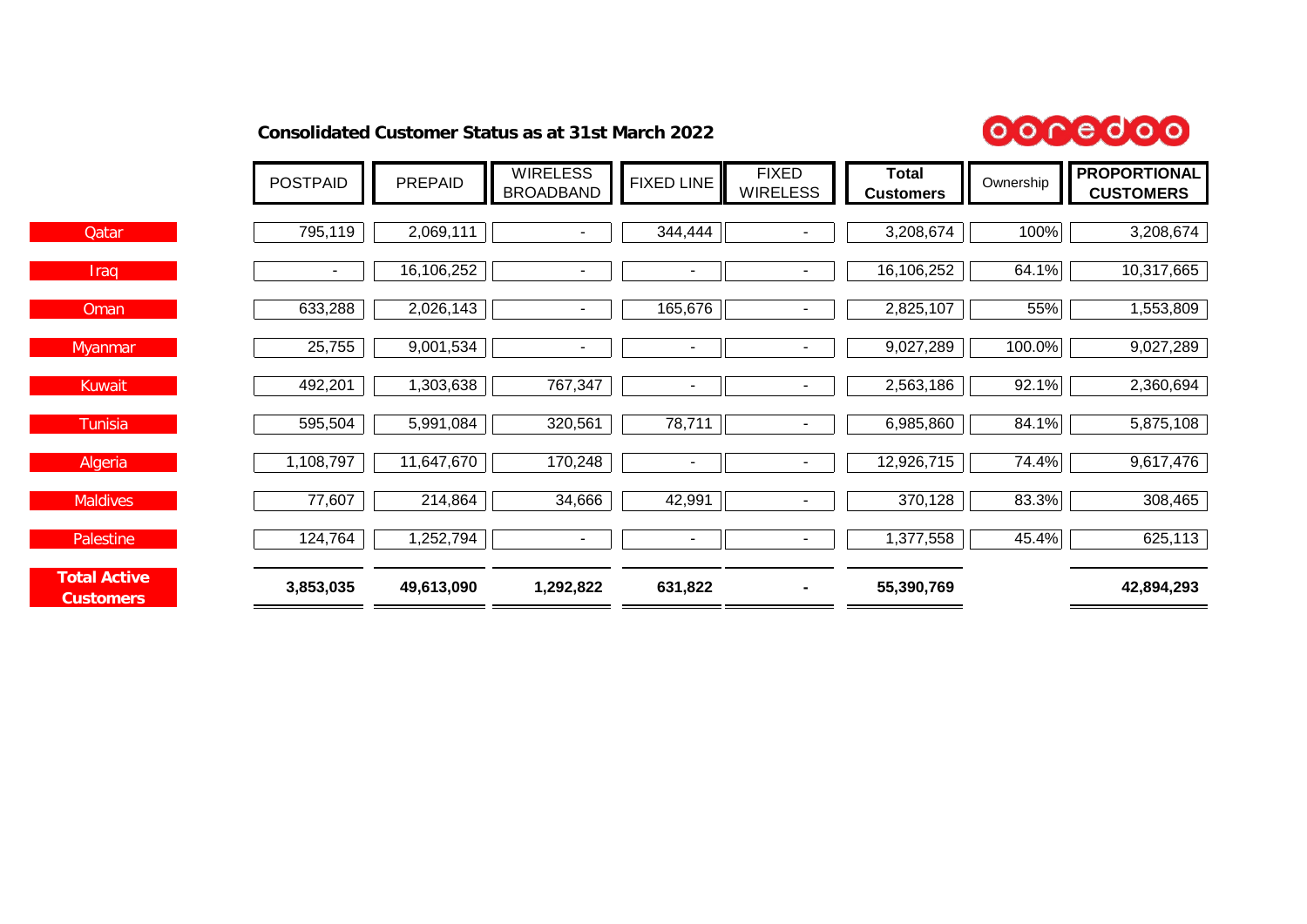### **Consolidated Customer Status as at 31st March 2022**



|                                         | <b>POSTPAID</b> | PREPAID    | <b>WIRELESS</b><br><b>BROADBAND</b> | <b>FIXED LINE</b> | <b>FIXED</b><br><b>WIRELESS</b> | <b>Total</b><br><b>Customers</b> | Ownership | <b>PROPORTIONAL</b><br><b>CUSTOMERS</b> |
|-----------------------------------------|-----------------|------------|-------------------------------------|-------------------|---------------------------------|----------------------------------|-----------|-----------------------------------------|
|                                         |                 |            |                                     |                   |                                 |                                  |           |                                         |
| <b>Qatar</b>                            | 795,119         | 2,069,111  |                                     | 344,444           |                                 | 3,208,674                        | 100%      | 3,208,674                               |
| Iraq                                    | $\sim$          | 16,106,252 | $\blacksquare$                      | $\sim$            |                                 | 16,106,252                       | 64.1%     | 10,317,665                              |
| Oman                                    | 633,288         | 2,026,143  | ٠                                   | 165,676           | $\sim$                          | 2,825,107                        | 55%       | 1,553,809                               |
| <b>Myanmar</b>                          | 25,755          | 9,001,534  | $\overline{\phantom{a}}$            | $\blacksquare$    |                                 | 9,027,289                        | 100.0%    | 9,027,289                               |
| <b>Kuwait</b>                           | 492,201         | 1,303,638  | 767,347                             |                   |                                 | 2,563,186                        | 92.1%     | 2,360,694                               |
| Tunisia                                 | 595,504         | 5,991,084  | 320,561                             | 78,711            |                                 | 6,985,860                        | 84.1%     | 5,875,108                               |
| Algeria                                 | 1,108,797       | 11,647,670 | 170,248                             | $\sim$            |                                 | 12,926,715                       | 74.4%     | 9,617,476                               |
| <b>Maldives</b>                         | 77,607          | 214,864    | 34,666                              | 42,991            | $\blacksquare$                  | 370,128                          | 83.3%     | 308,465                                 |
| Palestine                               | 124,764         | 1,252,794  | $\overline{\phantom{a}}$            | $\blacksquare$    |                                 | 1,377,558                        | 45.4%     | 625,113                                 |
| <b>Total Active</b><br><b>Customers</b> | 3,853,035       | 49,613,090 | 1,292,822                           | 631,822           |                                 | 55,390,769                       |           | 42,894,293                              |